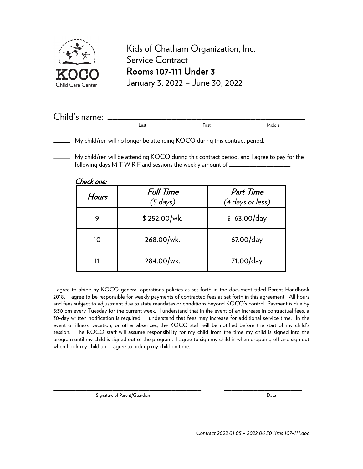

Kids of Chatham Organization, Inc. Service Contract Rooms 107-111 Under 3 January 3, 2022 – June 30, 2022

| Child's name: |      |       |        |
|---------------|------|-------|--------|
|               | Last | First | Middle |

\_\_\_\_\_ My child/ren will no longer be attending KOCO during this contract period.

\_\_\_\_\_ My child/ren will be attending KOCO during this contract period, and I agree to pay for the following days M T W R F and sessions the weekly amount of \_\_\_\_\_\_\_\_\_\_\_\_\_\_\_\_\_\_\_\_\_

| Hours | Full Time<br>$(5$ days) | Part Time<br>(4 days or less) |
|-------|-------------------------|-------------------------------|
| 9     | \$252.00/wk.            | \$63.00/day                   |
| 10    | 268.00/wk.              | $67.00$ /day                  |
|       | 284.00/wk.              | 71.00/day                     |

I agree to abide by KOCO general operations policies as set forth in the document titled Parent Handbook 2018. I agree to be responsible for weekly payments of contracted fees as set forth in this agreement. All hours and fees subject to adjustment due to state mandates or conditions beyond KOCO's control. Payment is due by 5:30 pm every Tuesday for the current week. I understand that in the event of an increase in contractual fees, a 30-day written notification is required. I understand that fees may increase for additional service time. In the event of illness, vacation, or other absences, the KOCO staff will be notified before the start of my child's session. The KOCO staff will assume responsibility for my child from the time my child is signed into the program until my child is signed out of the program. I agree to sign my child in when dropping off and sign out when I pick my child up. I agree to pick up my child on time.

Signature of Parent/Guardian and the Signature of Parent/Guardian Date

\_\_\_\_\_\_\_\_\_\_\_\_\_\_\_\_\_\_\_\_\_\_\_\_\_\_\_\_\_\_\_\_\_\_\_\_\_\_\_\_ \_\_\_\_\_\_\_\_\_\_\_\_\_\_\_\_\_\_\_\_\_